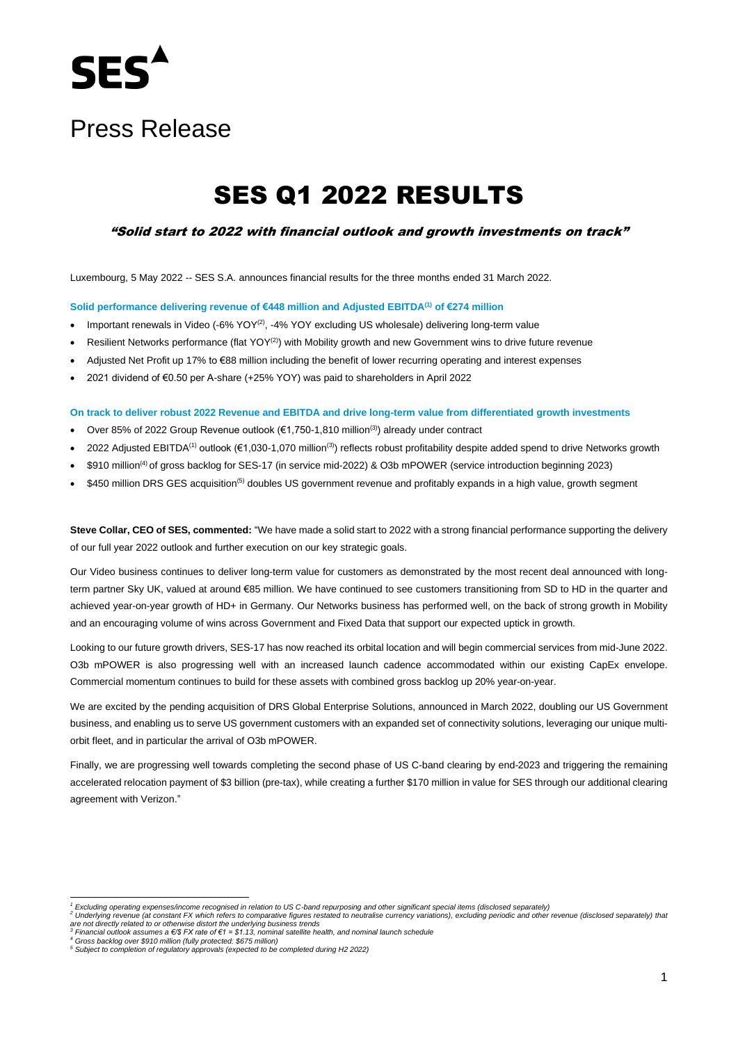

# Press Release

# SES Q1 2022 RESULTS

"Solid start to 2022 with financial outlook and growth investments on track"

Luxembourg, 5 May 2022 -- SES S.A. announces financial results for the three months ended 31 March 2022.

**Solid performance delivering revenue of €448 million and Adjusted EBITDA(1) of €274 million**

- Important renewals in Video  $(-6\%$  YOY<sup>(2)</sup>, -4% YOY excluding US wholesale) delivering long-term value
- Resilient Networks performance (flat YOY<sup>(2)</sup>) with Mobility growth and new Government wins to drive future revenue
- Adjusted Net Profit up 17% to €88 million including the benefit of lower recurring operating and interest expenses
- 2021 dividend of €0.50 per A-share (+25% YOY) was paid to shareholders in April 2022

**On track to deliver robust 2022 Revenue and EBITDA and drive long-term value from differentiated growth investments** 

- Over 85% of 2022 Group Revenue outlook ( $\epsilon$ 1,750-1,810 million<sup>(3)</sup>) already under contract
- 2022 Adjusted EBITDA<sup>(1)</sup> outlook (€1,030-1,070 million<sup>(3)</sup>) reflects robust profitability despite added spend to drive Networks growth
- \$910 million(4) of gross backlog for SES-17 (in service mid-2022) & O3b mPOWER (service introduction beginning 2023)
- \$450 million DRS GES acquisition<sup>(5)</sup> doubles US government revenue and profitably expands in a high value, growth segment

**Steve Collar, CEO of SES, commented:** "We have made a solid start to 2022 with a strong financial performance supporting the delivery of our full year 2022 outlook and further execution on our key strategic goals.

Our Video business continues to deliver long-term value for customers as demonstrated by the most recent deal announced with longterm partner Sky UK, valued at around €85 million. We have continued to see customers transitioning from SD to HD in the quarter and achieved year-on-year growth of HD+ in Germany. Our Networks business has performed well, on the back of strong growth in Mobility and an encouraging volume of wins across Government and Fixed Data that support our expected uptick in growth.

Looking to our future growth drivers, SES-17 has now reached its orbital location and will begin commercial services from mid-June 2022. O3b mPOWER is also progressing well with an increased launch cadence accommodated within our existing CapEx envelope. Commercial momentum continues to build for these assets with combined gross backlog up 20% year-on-year.

We are excited by the pending acquisition of DRS Global Enterprise Solutions, announced in March 2022, doubling our US Government business, and enabling us to serve US government customers with an expanded set of connectivity solutions, leveraging our unique multiorbit fleet, and in particular the arrival of O3b mPOWER.

Finally, we are progressing well towards completing the second phase of US C-band clearing by end-2023 and triggering the remaining accelerated relocation payment of \$3 billion (pre-tax), while creating a further \$170 million in value for SES through our additional clearing agreement with Verizon."

*<sup>1</sup> Excluding operating expenses/income recognised in relation to US C-band repurposing and other significant special items (disclosed separately)* 

<sup>&</sup>lt;sup>2</sup> Underlying revenue (at constant FX which refers to comparative figures restated to neutralise currency variations), excluding periodic and other revenue (disclosed separately) that<br>are not directly related to or other

*<sup>4</sup> Gross backlog over \$910 million (fully protected: \$675 million) <sup>5</sup> Subject to completion of regulatory approvals (expected to be completed during H2 2022)*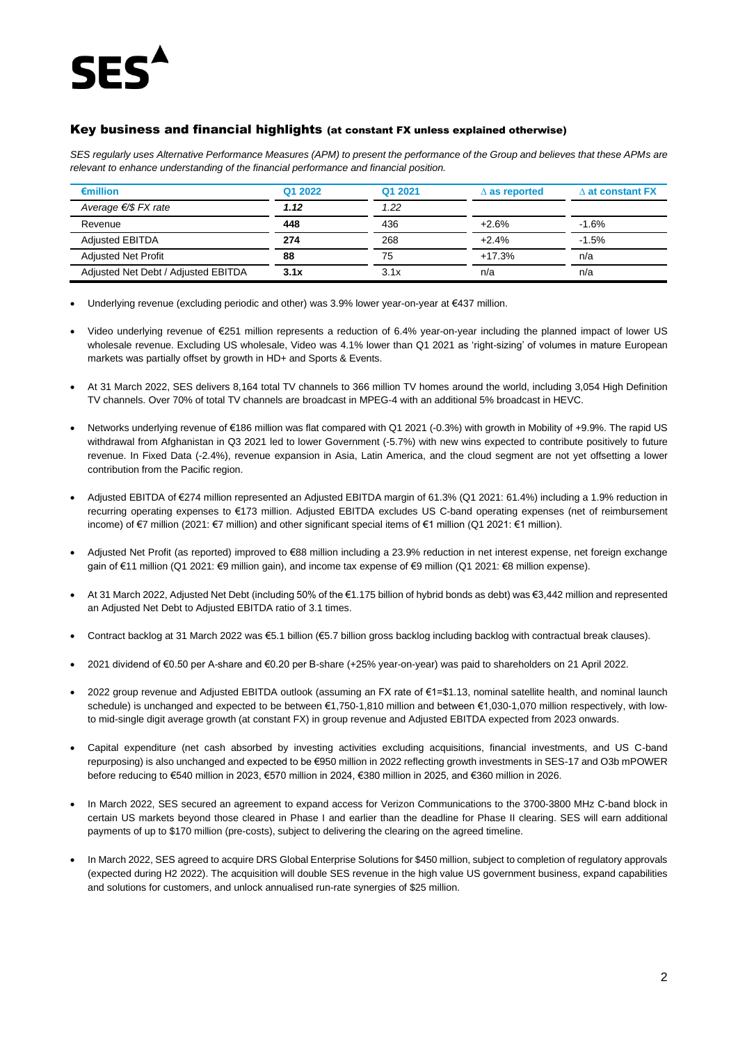

#### Key business and financial highlights (at constant FX unless explained otherwise)

*SES regularly uses Alternative Performance Measures (APM) to present the performance of the Group and believes that these APMs are relevant to enhance understanding of the financial performance and financial position.* 

| $\epsilon$ million                  | Q1 2022 | Q1 2021 | $\Delta$ as reported | $\wedge$ at constant FX |
|-------------------------------------|---------|---------|----------------------|-------------------------|
| Average $\epsilon$ /\$ FX rate      | 1.12    | 1.22    |                      |                         |
| Revenue                             | 448     | 436     | $+2.6%$              | $-1.6%$                 |
| <b>Adiusted EBITDA</b>              | 274     | 268     | $+2.4%$              | $-1.5%$                 |
| <b>Adjusted Net Profit</b>          | 88      | 75      | $+17.3%$             | n/a                     |
| Adjusted Net Debt / Adjusted EBITDA | 3.1x    | 3.1x    | n/a                  | n/a                     |

- Underlying revenue (excluding periodic and other) was 3.9% lower year-on-year at €437 million.
- Video underlying revenue of €251 million represents a reduction of 6.4% year-on-year including the planned impact of lower US wholesale revenue. Excluding US wholesale, Video was 4.1% lower than Q1 2021 as 'right-sizing' of volumes in mature European markets was partially offset by growth in HD+ and Sports & Events.
- At 31 March 2022, SES delivers 8,164 total TV channels to 366 million TV homes around the world, including 3,054 High Definition TV channels. Over 70% of total TV channels are broadcast in MPEG-4 with an additional 5% broadcast in HEVC.
- Networks underlying revenue of €186 million was flat compared with Q1 2021 (-0.3%) with growth in Mobility of +9.9%. The rapid US withdrawal from Afghanistan in Q3 2021 led to lower Government (-5.7%) with new wins expected to contribute positively to future revenue. In Fixed Data (-2.4%), revenue expansion in Asia, Latin America, and the cloud segment are not yet offsetting a lower contribution from the Pacific region.
- Adjusted EBITDA of €274 million represented an Adjusted EBITDA margin of 61.3% (Q1 2021: 61.4%) including a 1.9% reduction in recurring operating expenses to €173 million. Adjusted EBITDA excludes US C-band operating expenses (net of reimbursement income) of €7 million (2021: €7 million) and other significant special items of €1 million (Q1 2021: €1 million).
- Adjusted Net Profit (as reported) improved to €88 million including a 23.9% reduction in net interest expense, net foreign exchange gain of €11 million (Q1 2021: €9 million gain), and income tax expense of €9 million (Q1 2021: €8 million expense).
- At 31 March 2022, Adjusted Net Debt (including 50% of the €1.175 billion of hybrid bonds as debt) was €3,442 million and represented an Adjusted Net Debt to Adjusted EBITDA ratio of 3.1 times.
- Contract backlog at 31 March 2022 was €5.1 billion (€5.7 billion gross backlog including backlog with contractual break clauses).
- 2021 dividend of €0.50 per A-share and €0.20 per B-share (+25% year-on-year) was paid to shareholders on 21 April 2022.
- 2022 group revenue and Adjusted EBITDA outlook (assuming an FX rate of €1=\$1.13, nominal satellite health, and nominal launch schedule) is unchanged and expected to be between €1,750-1,810 million and between €1,030-1,070 million respectively, with lowto mid-single digit average growth (at constant FX) in group revenue and Adjusted EBITDA expected from 2023 onwards.
- Capital expenditure (net cash absorbed by investing activities excluding acquisitions, financial investments, and US C-band repurposing) is also unchanged and expected to be €950 million in 2022 reflecting growth investments in SES-17 and O3b mPOWER before reducing to €540 million in 2023, €570 million in 2024, €380 million in 2025, and €360 million in 2026.
- In March 2022, SES secured an agreement to expand access for Verizon Communications to the 3700-3800 MHz C-band block in certain US markets beyond those cleared in Phase I and earlier than the deadline for Phase II clearing. SES will earn additional payments of up to \$170 million (pre-costs), subject to delivering the clearing on the agreed timeline.
- In March 2022, SES agreed to acquire DRS Global Enterprise Solutions for \$450 million, subject to completion of regulatory approvals (expected during H2 2022). The acquisition will double SES revenue in the high value US government business, expand capabilities and solutions for customers, and unlock annualised run-rate synergies of \$25 million.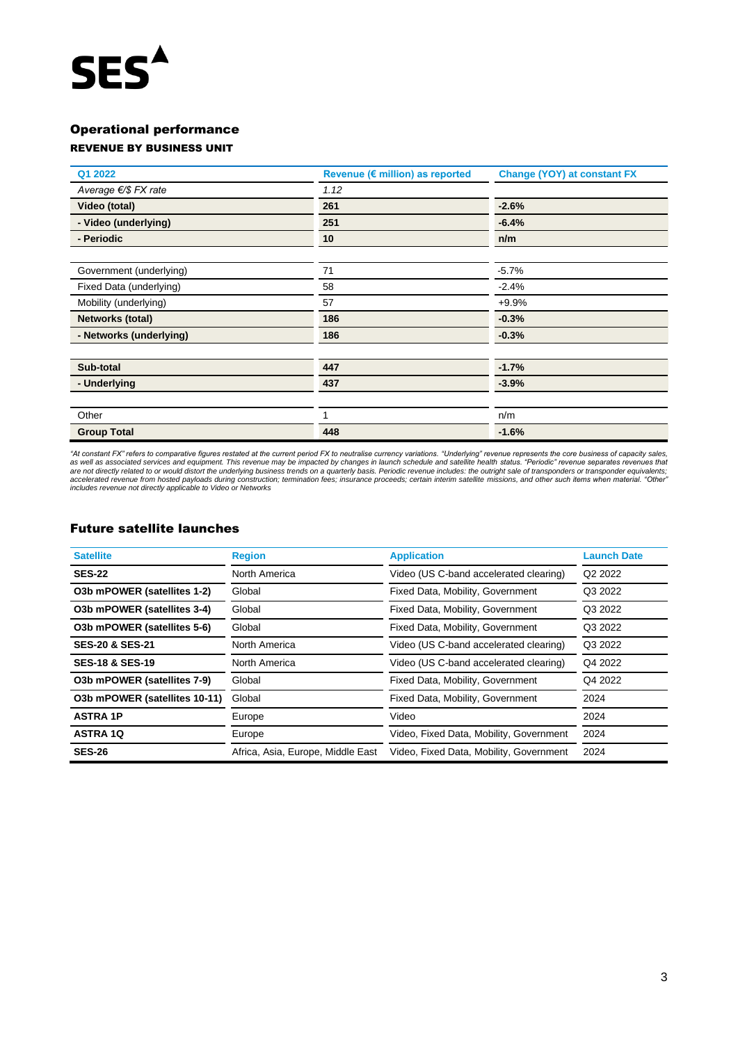# **SES**<sup>^</sup>

### Operational performance

### REVENUE BY BUSINESS UNIT

| Q1 2022                 | Revenue (€ million) as reported | <b>Change (YOY) at constant FX</b> |  |
|-------------------------|---------------------------------|------------------------------------|--|
| Average €/\$ FX rate    | 1.12                            |                                    |  |
| Video (total)           | 261                             | $-2.6%$                            |  |
| - Video (underlying)    | 251                             | $-6.4%$                            |  |
| - Periodic              | 10                              | n/m                                |  |
|                         |                                 |                                    |  |
| Government (underlying) | 71                              | $-5.7%$                            |  |
| Fixed Data (underlying) | 58                              | $-2.4%$                            |  |
| Mobility (underlying)   | 57                              | $+9.9%$                            |  |
| Networks (total)        | 186                             | $-0.3%$                            |  |
| - Networks (underlying) | 186                             | $-0.3%$                            |  |
|                         |                                 |                                    |  |
| Sub-total               | 447                             | $-1.7%$                            |  |
| - Underlying            | 437                             | $-3.9%$                            |  |
|                         |                                 |                                    |  |
| Other                   |                                 | n/m                                |  |
| <b>Group Total</b>      | 448                             | $-1.6%$                            |  |

*"At constant FX" refers to comparative figures restated at the current period FX to neutralise currency variations. "Underlying" revenue represents the core business of capacity sales,*  as well as associated services and equipment. This revenue may be impacted by changes in launch schedule and satellite health status. "Periodic" revenue separates revenues that<br>accelerated revenue from hosted payloads duri

#### Future satellite launches

| <b>Satellite</b>              | <b>Region</b>                     | <b>Application</b>                      | <b>Launch Date</b>  |
|-------------------------------|-----------------------------------|-----------------------------------------|---------------------|
| <b>SES-22</b>                 | North America                     | Video (US C-band accelerated clearing)  | Q <sub>2</sub> 2022 |
| O3b mPOWER (satellites 1-2)   | Global                            | Fixed Data, Mobility, Government        | Q3 2022             |
| O3b mPOWER (satellites 3-4)   | Global                            | Fixed Data, Mobility, Government        | Q3 2022             |
| O3b mPOWER (satellites 5-6)   | Global                            | Fixed Data, Mobility, Government        | Q3 2022             |
| <b>SES-20 &amp; SES-21</b>    | North America                     | Video (US C-band accelerated clearing)  | Q3 2022             |
| <b>SES-18 &amp; SES-19</b>    | North America                     | Video (US C-band accelerated clearing)  | Q4 2022             |
| O3b mPOWER (satellites 7-9)   | Global                            | Fixed Data, Mobility, Government        | Q4 2022             |
| O3b mPOWER (satellites 10-11) | Global                            | Fixed Data, Mobility, Government        | 2024                |
| <b>ASTRA 1P</b>               | Europe                            | Video                                   | 2024                |
| <b>ASTRA 1Q</b>               | Europe                            | Video, Fixed Data, Mobility, Government | 2024                |
| <b>SES-26</b>                 | Africa, Asia, Europe, Middle East | Video, Fixed Data, Mobility, Government | 2024                |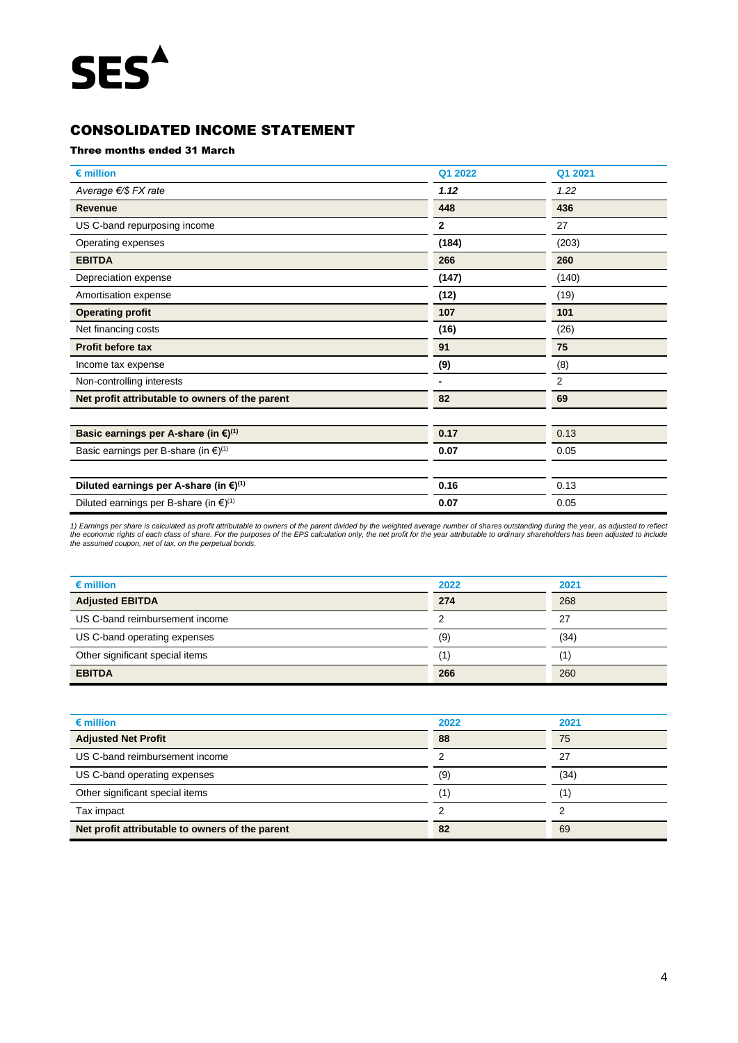# **SES**<sup>^</sup>

## CONSOLIDATED INCOME STATEMENT

#### Three months ended 31 March

| $\epsilon$ million                                           | Q1 2022      | Q1 2021 |
|--------------------------------------------------------------|--------------|---------|
| Average €/\$ FX rate                                         | 1.12         | 1.22    |
| <b>Revenue</b>                                               | 448          | 436     |
| US C-band repurposing income                                 | $\mathbf{2}$ | 27      |
| Operating expenses                                           | (184)        | (203)   |
| <b>EBITDA</b>                                                | 266          | 260     |
| Depreciation expense                                         | (147)        | (140)   |
| Amortisation expense                                         | (12)         | (19)    |
| <b>Operating profit</b>                                      | 107          | 101     |
| Net financing costs                                          | (16)         | (26)    |
| <b>Profit before tax</b>                                     | 91           | 75      |
| Income tax expense                                           | (9)          | (8)     |
| Non-controlling interests                                    |              | 2       |
| Net profit attributable to owners of the parent              | 82           | 69      |
| Basic earnings per A-share (in $\xi$ ) <sup>(1)</sup>        | 0.17         | 0.13    |
| Basic earnings per B-share (in $\epsilon$ ) <sup>(1)</sup>   | 0.07         | 0.05    |
| Diluted earnings per A-share (in $\xi^{(1)}$ )               | 0.16         | 0.13    |
| Diluted earnings per B-share (in $\epsilon$ ) <sup>(1)</sup> | 0.07         | 0.05    |

1) Earnings per share is calculated as profit attributable to owners of the parent divided by the weighted average number of shares outstanding during the year, as adjusted to reflect<br>the economic rights of each class of s

| $\epsilon$ million              | 2022 | 2021              |
|---------------------------------|------|-------------------|
| <b>Adjusted EBITDA</b>          | 274  | 268               |
| US C-band reimbursement income  |      | 27                |
| US C-band operating expenses    | (9)  | (34)              |
| Other significant special items |      | $\left( 1\right)$ |
| <b>EBITDA</b>                   | 266  | 260               |

| $\epsilon$ million                              | 2022 | 2021 |
|-------------------------------------------------|------|------|
| <b>Adjusted Net Profit</b>                      | 88   | 75   |
| US C-band reimbursement income                  |      | 27   |
| US C-band operating expenses                    | (9)  | (34) |
| Other significant special items                 |      |      |
| Tax impact                                      |      |      |
| Net profit attributable to owners of the parent | 82   | 69   |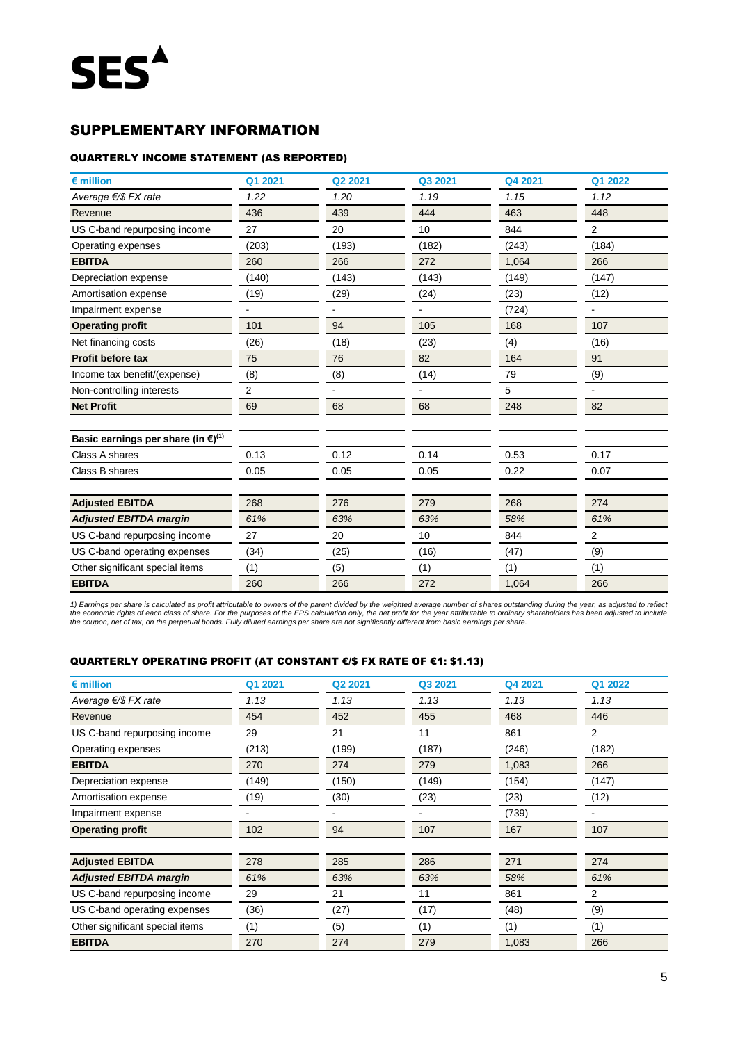## SUPPLEMENTARY INFORMATION

#### QUARTERLY INCOME STATEMENT (AS REPORTED)

| $\epsilon$ million                                       | Q1 2021 | Q2 2021 | Q3 2021 | Q4 2021 | Q1 2022 |
|----------------------------------------------------------|---------|---------|---------|---------|---------|
| Average €/\$ FX rate                                     | 1.22    | 1.20    | 1.19    | 1.15    | 1.12    |
| Revenue                                                  | 436     | 439     | 444     | 463     | 448     |
| US C-band repurposing income                             | 27      | 20      | 10      | 844     | 2       |
| Operating expenses                                       | (203)   | (193)   | (182)   | (243)   | (184)   |
| <b>EBITDA</b>                                            | 260     | 266     | 272     | 1,064   | 266     |
| Depreciation expense                                     | (140)   | (143)   | (143)   | (149)   | (147)   |
| Amortisation expense                                     | (19)    | (29)    | (24)    | (23)    | (12)    |
| Impairment expense                                       |         |         |         | (724)   |         |
| <b>Operating profit</b>                                  | 101     | 94      | 105     | 168     | 107     |
| Net financing costs                                      | (26)    | (18)    | (23)    | (4)     | (16)    |
| <b>Profit before tax</b>                                 | 75      | 76      | 82      | 164     | 91      |
| Income tax benefit/(expense)                             | (8)     | (8)     | (14)    | 79      | (9)     |
| Non-controlling interests                                | 2       |         |         | 5       |         |
| <b>Net Profit</b>                                        | 69      | 68      | 68      | 248     | 82      |
| Basic earnings per share (in $\epsilon$ ) <sup>(1)</sup> |         |         |         |         |         |
| Class A shares                                           | 0.13    | 0.12    | 0.14    | 0.53    | 0.17    |
| Class B shares                                           | 0.05    | 0.05    | 0.05    | 0.22    | 0.07    |
| <b>Adjusted EBITDA</b>                                   | 268     | 276     | 279     | 268     | 274     |
| <b>Adjusted EBITDA margin</b>                            | 61%     | 63%     | 63%     | 58%     | 61%     |
| US C-band repurposing income                             | 27      | 20      | 10      | 844     | 2       |
| US C-band operating expenses                             | (34)    | (25)    | (16)    | (47)    | (9)     |
| Other significant special items                          | (1)     | (5)     | (1)     | (1)     | (1)     |
| <b>EBITDA</b>                                            | 260     | 266     | 272     | 1,064   | 266     |

1) Earnings per share is calculated as profit attributable to owners of the parent divided by the weighted average number of shares outstanding during the year, as adjusted to reflect<br>the economic rights of each class of s

#### QUARTERLY OPERATING PROFIT (AT CONSTANT €/\$ FX RATE OF €1: \$1.13)

| $\epsilon$ million              | Q1 2021 | Q <sub>2</sub> 2021 | Q3 2021 | Q4 2021 | Q1 2022        |
|---------------------------------|---------|---------------------|---------|---------|----------------|
| Average $\epsilon$ /\$ FX rate  | 1.13    | 1.13                | 1.13    | 1.13    | 1.13           |
| Revenue                         | 454     | 452                 | 455     | 468     | 446            |
| US C-band repurposing income    | 29      | 21                  | 11      | 861     | $\overline{2}$ |
| Operating expenses              | (213)   | (199)               | (187)   | (246)   | (182)          |
| <b>EBITDA</b>                   | 270     | 274                 | 279     | 1,083   | 266            |
| Depreciation expense            | (149)   | (150)               | (149)   | (154)   | (147)          |
| Amortisation expense            | (19)    | (30)                | (23)    | (23)    | (12)           |
| Impairment expense              |         |                     |         | (739)   |                |
| <b>Operating profit</b>         | 102     | 94                  | 107     | 167     | 107            |
|                                 |         |                     |         |         |                |
| <b>Adjusted EBITDA</b>          | 278     | 285                 | 286     | 271     | 274            |
| <b>Adjusted EBITDA margin</b>   | 61%     | 63%                 | 63%     | 58%     | 61%            |
| US C-band repurposing income    | 29      | 21                  | 11      | 861     | 2              |
| US C-band operating expenses    | (36)    | (27)                | (17)    | (48)    | (9)            |
| Other significant special items | (1)     | (5)                 | (1)     | (1)     | (1)            |
| <b>EBITDA</b>                   | 270     | 274                 | 279     | 1,083   | 266            |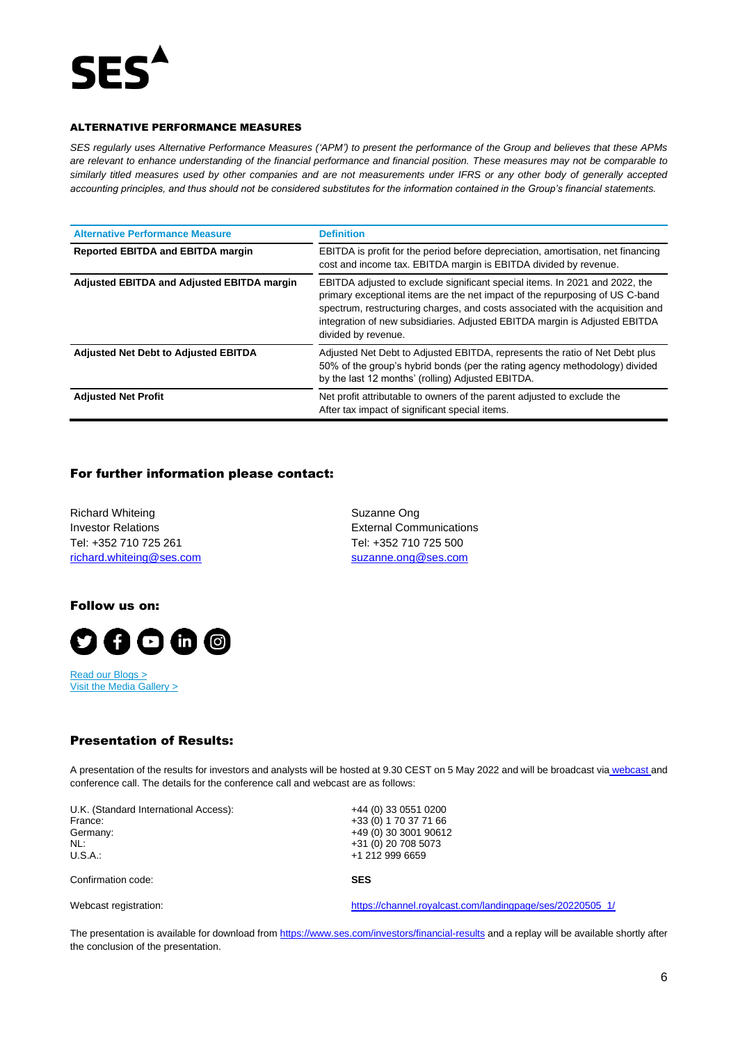

#### ALTERNATIVE PERFORMANCE MEASURES

*SES regularly uses Alternative Performance Measures ('APM') to present the performance of the Group and believes that these APMs are relevant to enhance understanding of the financial performance and financial position. These measures may not be comparable to similarly titled measures used by other companies and are not measurements under IFRS or any other body of generally accepted accounting principles, and thus should not be considered substitutes for the information contained in the Group's financial statements.* 

| <b>Alternative Performance Measure</b>      | <b>Definition</b>                                                                                                                                                                                                                                                                                                                                  |
|---------------------------------------------|----------------------------------------------------------------------------------------------------------------------------------------------------------------------------------------------------------------------------------------------------------------------------------------------------------------------------------------------------|
| <b>Reported EBITDA and EBITDA margin</b>    | EBITDA is profit for the period before depreciation, amortisation, net financing<br>cost and income tax. EBITDA margin is EBITDA divided by revenue.                                                                                                                                                                                               |
| Adjusted EBITDA and Adjusted EBITDA margin  | EBITDA adjusted to exclude significant special items. In 2021 and 2022, the<br>primary exceptional items are the net impact of the repurposing of US C-band<br>spectrum, restructuring charges, and costs associated with the acquisition and<br>integration of new subsidiaries. Adjusted EBITDA margin is Adjusted EBITDA<br>divided by revenue. |
| <b>Adjusted Net Debt to Adjusted EBITDA</b> | Adjusted Net Debt to Adjusted EBITDA, represents the ratio of Net Debt plus<br>50% of the group's hybrid bonds (per the rating agency methodology) divided<br>by the last 12 months' (rolling) Adjusted EBITDA.                                                                                                                                    |
| <b>Adjusted Net Profit</b>                  | Net profit attributable to owners of the parent adjusted to exclude the<br>After tax impact of significant special items.                                                                                                                                                                                                                          |

#### For further information please contact:

Richard Whiteing **Suzanne Ong** Investor Relations External Communications Tel: +352 710 725 261 Tel: +352 710 725 500 [richard.whiteing@ses.com](mailto:richard.whiteing@ses.com) [suzanne.ong@ses.com](mailto:suzanne.ong@ses.com)

Follow us on:



[Read our Blogs](https://www.ses.com/news/blogs) > [Visit the Media Gallery](https://www.ses.com/media-gallery) >

#### Presentation of Results:

A presentation of the results for investors and analysts will be hosted at 9.30 CEST on 5 May 2022 and will be broadcast via [webcast a](https://channel.royalcast.com/landingpage/ses/20220505_1/)nd conference call. The details for the conference call and webcast are as follows:

U.K. (Standard International Access): +44 (0) 33 0551 0200<br>France: +33 (0) 1 70 37 71 66 France: +33 (0) 1 70 37 71 66<br>Germany: +49 (0) 30 3001 9061 NL: +31 (0) 20 708 5073<br>U.S.A.: +1 212 999 6659

Germany: +49 (0) 30 3001 90612 +1 212 999 6659

Confirmation code: **SES**

Webcast registration: [https://channel.royalcast.com/landingpage/ses/20220505\\_1/](https://channel.royalcast.com/landingpage/ses/20220505_1/)

The presentation is available for download from<https://www.ses.com/investors/financial-results> and a replay will be available shortly after the conclusion of the presentation.